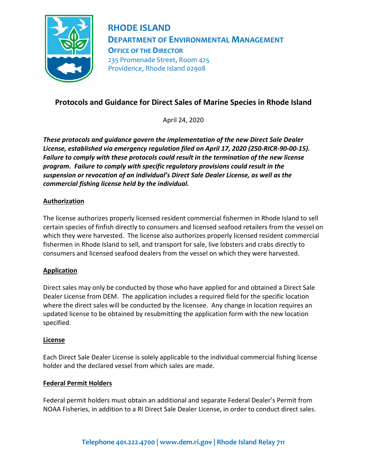

# **RHODE ISLAND DEPARTMENT OF ENVIRONMENTAL MANAGEMENT OFFICE OF THE DIRECTOR** 235 Promenade Street, Room 425 Providence, Rhode Island 02908

# **Protocols and Guidance for Direct Sales of Marine Species in Rhode Island**

April 24, 2020

*These protocols and guidance govern the implementation of the new Direct Sale Dealer License, established via emergency regulation filed on April 17, 2020 (250-RICR-90-00-15). Failure to comply with these protocols could result in the termination of the new license program. Failure to comply with specific regulatory provisions could result in the suspension or revocation of an individual's Direct Sale Dealer License, as well as the commercial fishing license held by the individual.*

#### **Authorization**

The license authorizes properly licensed resident commercial fishermen in Rhode Island to sell certain species of finfish directly to consumers and licensed seafood retailers from the vessel on which they were harvested. The license also authorizes properly licensed resident commercial fishermen in Rhode Island to sell, and transport for sale, live lobsters and crabs directly to consumers and licensed seafood dealers from the vessel on which they were harvested.

#### **Application**

Direct sales may only be conducted by those who have applied for and obtained a Direct Sale Dealer License from DEM. The application includes a required field for the specific location where the direct sales will be conducted by the licensee. Any change in location requires an updated license to be obtained by resubmitting the application form with the new location specified.

#### **License**

Each Direct Sale Dealer License is solely applicable to the individual commercial fishing license holder and the declared vessel from which sales are made.

#### **Federal Permit Holders**

Federal permit holders must obtain an additional and separate Federal Dealer's Permit from NOAA Fisheries, in addition to a RI Direct Sale Dealer License, in order to conduct direct sales.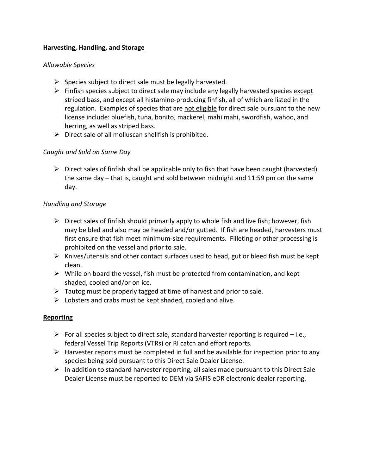#### **Harvesting, Handling, and Storage**

#### *Allowable Species*

- $\triangleright$  Species subject to direct sale must be legally harvested.
- $\triangleright$  Finfish species subject to direct sale may include any legally harvested species except striped bass, and except all histamine-producing finfish, all of which are listed in the regulation. Examples of species that are not eligible for direct sale pursuant to the new license include: bluefish, tuna, bonito, mackerel, mahi mahi, swordfish, wahoo, and herring, as well as striped bass.
- $\triangleright$  Direct sale of all molluscan shellfish is prohibited.

#### *Caught and Sold on Same Day*

 $\triangleright$  Direct sales of finfish shall be applicable only to fish that have been caught (harvested) the same day – that is, caught and sold between midnight and 11:59 pm on the same day.

#### *Handling and Storage*

- $\triangleright$  Direct sales of finfish should primarily apply to whole fish and live fish; however, fish may be bled and also may be headed and/or gutted. If fish are headed, harvesters must first ensure that fish meet minimum-size requirements. Filleting or other processing is prohibited on the vessel and prior to sale.
- $\triangleright$  Knives/utensils and other contact surfaces used to head, gut or bleed fish must be kept clean.
- $\triangleright$  While on board the vessel, fish must be protected from contamination, and kept shaded, cooled and/or on ice.
- $\triangleright$  Tautog must be properly tagged at time of harvest and prior to sale.
- $\triangleright$  Lobsters and crabs must be kept shaded, cooled and alive.

#### **Reporting**

- For all species subject to direct sale, standard harvester reporting is required  $-i.e.,$ federal Vessel Trip Reports (VTRs) or RI catch and effort reports.
- $\triangleright$  Harvester reports must be completed in full and be available for inspection prior to any species being sold pursuant to this Direct Sale Dealer License.
- $\triangleright$  In addition to standard harvester reporting, all sales made pursuant to this Direct Sale Dealer License must be reported to DEM via SAFIS eDR electronic dealer reporting.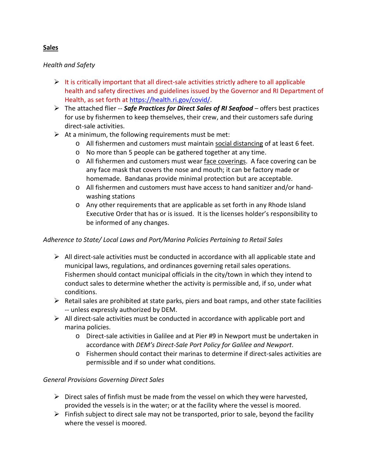# **Sales**

#### *Health and Safety*

- $\triangleright$  It is critically important that all direct-sale activities strictly adhere to all applicable health and safety directives and guidelines issued by the Governor and RI Department of Health, as set forth at [https://health.ri.gov/covid/.](https://health.ri.gov/covid/)
- The attached flier -- *Safe Practices for Direct Sales of RI Seafood* offers best practices for use by fishermen to keep themselves, their crew, and their customers safe during direct-sale activities.
- $\triangleright$  At a minimum, the following requirements must be met:
	- o All fishermen and customers must maintain social distancing of at least 6 feet.
	- o No more than 5 people can be gathered together at any time.
	- o All fishermen and customers must wear face coverings. A face covering can be any face mask that covers the nose and mouth; it can be factory made or homemade. Bandanas provide minimal protection but are acceptable.
	- o All fishermen and customers must have access to hand sanitizer and/or handwashing stations
	- o Any other requirements that are applicable as set forth in any Rhode Island Executive Order that has or is issued. It is the licenses holder's responsibility to be informed of any changes.

#### *Adherence to State/ Local Laws and Port/Marina Policies Pertaining to Retail Sales*

- $\triangleright$  All direct-sale activities must be conducted in accordance with all applicable state and municipal laws, regulations, and ordinances governing retail sales operations. Fishermen should contact municipal officials in the city/town in which they intend to conduct sales to determine whether the activity is permissible and, if so, under what conditions.
- $\triangleright$  Retail sales are prohibited at state parks, piers and boat ramps, and other state facilities -- unless expressly authorized by DEM.
- $\triangleright$  All direct-sale activities must be conducted in accordance with applicable port and marina policies.
	- o Direct-sale activities in Galilee and at Pier #9 in Newport must be undertaken in accordance with *DEM's Direct-Sale Port Policy for Galilee and Newport*.
	- o Fishermen should contact their marinas to determine if direct-sales activities are permissible and if so under what conditions.

#### *General Provisions Governing Direct Sales*

- $\triangleright$  Direct sales of finfish must be made from the vessel on which they were harvested, provided the vessels is in the water; or at the facility where the vessel is moored.
- $\triangleright$  Finfish subject to direct sale may not be transported, prior to sale, beyond the facility where the vessel is moored.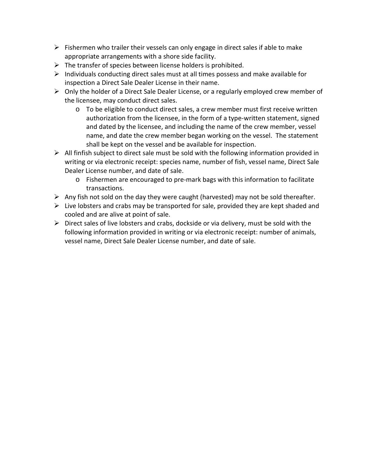- $\triangleright$  Fishermen who trailer their vessels can only engage in direct sales if able to make appropriate arrangements with a shore side facility.
- $\triangleright$  The transfer of species between license holders is prohibited.
- $\triangleright$  Individuals conducting direct sales must at all times possess and make available for inspection a Direct Sale Dealer License in their name.
- $\triangleright$  Only the holder of a Direct Sale Dealer License, or a regularly employed crew member of the licensee, may conduct direct sales.
	- $\circ$  To be eligible to conduct direct sales, a crew member must first receive written authorization from the licensee, in the form of a type-written statement, signed and dated by the licensee, and including the name of the crew member, vessel name, and date the crew member began working on the vessel. The statement shall be kept on the vessel and be available for inspection.
- $\triangleright$  All finfish subject to direct sale must be sold with the following information provided in writing or via electronic receipt: species name, number of fish, vessel name, Direct Sale Dealer License number, and date of sale.
	- o Fishermen are encouraged to pre-mark bags with this information to facilitate transactions.
- $\triangleright$  Any fish not sold on the day they were caught (harvested) may not be sold thereafter.
- $\triangleright$  Live lobsters and crabs may be transported for sale, provided they are kept shaded and cooled and are alive at point of sale.
- $\triangleright$  Direct sales of live lobsters and crabs, dockside or via delivery, must be sold with the following information provided in writing or via electronic receipt: number of animals, vessel name, Direct Sale Dealer License number, and date of sale.